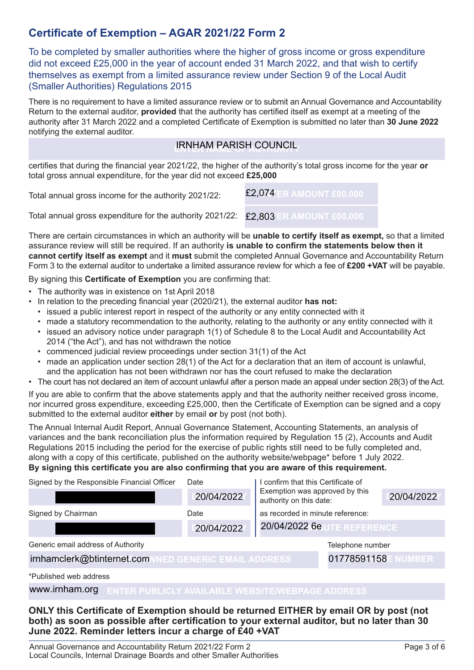### **Certificate of Exemption – AGAR 2021/22 Form 2**

To be completed by smaller authorities where the higher of gross income or gross expenditure did not exceed £25,000 in the year of account ended 31 March 2022, and that wish to certify themselves as exempt from a limited assurance review under Section 9 of the Local Audit (Smaller Authorities) Regulations 2015

There is no requirement to have a limited assurance review or to submit an Annual Governance and Accountability Return to the external auditor, **provided** that the authority has certified itself as exempt at a meeting of the authority after 31 March 2022 and a completed Certificate of Exemption is submitted no later than **30 June 2022** notifying the external auditor.

## **ENTER NAME OF AUTHORITY** IRNHAM PARISH COUNCIL

certifies that during the financial year 2021/22, the higher of the authority's total gross income for the year **or** total gross annual expenditure, for the year did not exceed **£25,000**

Total annual gross income for the authority 2021/22: **ENTER AMOUNT £00,000** £2,074

Total annual gross expenditure for the authority 2021/22:  $\mathbf{E2,803}$  ER AMOUNT £00,000

There are certain circumstances in which an authority will be **unable to certify itself as exempt,** so that a limited assurance review will still be required. If an authority **is unable to confirm the statements below then it cannot certify itself as exempt** and it **must** submit the completed Annual Governance and Accountability Return Form 3 to the external auditor to undertake a limited assurance review for which a fee of **£200 +VAT** will be payable.

By signing this **Certificate of Exemption** you are confirming that:

- The authority was in existence on 1st April 2018
- In relation to the preceding financial year (2020/21), the external auditor **has not:**
	- issued a public interest report in respect of the authority or any entity connected with it
	- made a statutory recommendation to the authority, relating to the authority or any entity connected with it
	- issued an advisory notice under paragraph 1(1) of Schedule 8 to the Local Audit and Accountability Act 2014 ("the Act"), and has not withdrawn the notice
	- commenced judicial review proceedings under section 31(1) of the Act
	- made an application under section 28(1) of the Act for a declaration that an item of account is unlawful, and the application has not been withdrawn nor has the court refused to make the declaration
- The court has not declared an item of account unlawful after a person made an appeal under section 28(3) of the Act.

If you are able to confirm that the above statements apply and that the authority neither received gross income, nor incurred gross expenditure, exceeding £25,000, then the Certificate of Exemption can be signed and a copy submitted to the external auditor **either** by email **or** by post (not both).

The Annual Internal Audit Report, Annual Governance Statement, Accounting Statements, an analysis of variances and the bank reconciliation plus the information required by Regulation 15 (2), Accounts and Audit Regulations 2015 including the period for the exercise of public rights still need to be fully completed and, along with a copy of this certificate, published on the authority website/webpage\* before 1 July 2022. **By signing this certificate you are also confirming that you are aware of this requirement.**

| Signed by the Responsible Financial Officer          | Date       | I confirm that this Certificate of<br>Exemption was approved by this<br>authority on this date: |                  |            |
|------------------------------------------------------|------------|-------------------------------------------------------------------------------------------------|------------------|------------|
|                                                      | 20/04/2022 |                                                                                                 |                  | 20/04/2022 |
| Signed by Chairman                                   | Date       | as recorded in minute reference:                                                                |                  |            |
|                                                      | 20/04/2022 | <b>20/04/2022 6e UTE REFERENCE</b>                                                              |                  |            |
| Generic email address of Authority                   |            |                                                                                                 | Telephone number |            |
| irnhamclerk@btinternet.com/NED GENERIC EMAIL ADDRESS |            | 01778591158E NUMBER                                                                             |                  |            |
| *Published web address                               |            |                                                                                                 |                  |            |

**ENTER PUBLICLY AVAILABLE WEBSITE/WEBPAGE ADDRESS** www.irnham.org

#### **ONLY this Certificate of Exemption should be returned EITHER by email OR by post (not both) as soon as possible after certification to your external auditor, but no later than 30 June 2022. Reminder letters incur a charge of £40 +VAT**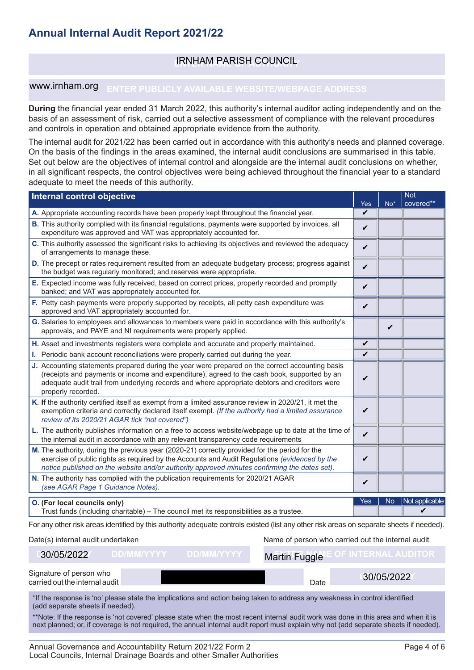### **ENTER NAME OF AUTHORITY** IRNHAM PARISH COUNCIL

#### www.irnham.org

**During** the financial year ended 31 March 2022, this authority's internal auditor acting independently and on the basis of an assessment of risk, carried out a selective assessment of compliance with the relevant procedures and controls in operation and obtained appropriate evidence from the authority.

The internal audit for 2021/22 has been carried out in accordance with this authority's needs and planned coverage. On the basis of the findings in the areas examined, the internal audit conclusions are summarised in this table. Set out below are the objectives of internal control and alongside are the internal audit conclusions on whether, in all significant respects, the control objectives were being achieved throughout the financial year to a standard adequate to meet the needs of this authority.

| Internal control objective                                                                                                                                                                                                                                                                                            |              |                 | <b>Not</b>                   |  |  |
|-----------------------------------------------------------------------------------------------------------------------------------------------------------------------------------------------------------------------------------------------------------------------------------------------------------------------|--------------|-----------------|------------------------------|--|--|
| A. Appropriate accounting records have been properly kept throughout the financial year.                                                                                                                                                                                                                              | Yes<br>V     | No <sup>*</sup> | covered**                    |  |  |
| B. This authority complied with its financial regulations, payments were supported by invoices, all<br>expenditure was approved and VAT was appropriately accounted for.                                                                                                                                              | V            |                 |                              |  |  |
| C. This authority assessed the significant risks to achieving its objectives and reviewed the adequacy<br>of arrangements to manage these.                                                                                                                                                                            | $\checkmark$ |                 |                              |  |  |
| D. The precept or rates requirement resulted from an adequate budgetary process; progress against<br>the budget was regularly monitored; and reserves were appropriate.                                                                                                                                               | V            |                 |                              |  |  |
| E. Expected income was fully received, based on correct prices, properly recorded and promptly<br>banked; and VAT was appropriately accounted for.                                                                                                                                                                    | V            |                 |                              |  |  |
| F. Petty cash payments were properly supported by receipts, all petty cash expenditure was<br>approved and VAT appropriately accounted for.                                                                                                                                                                           | V            |                 |                              |  |  |
| G. Salaries to employees and allowances to members were paid in accordance with this authority's<br>approvals, and PAYE and NI requirements were properly applied.                                                                                                                                                    |              | V               |                              |  |  |
| H. Asset and investments registers were complete and accurate and properly maintained.                                                                                                                                                                                                                                | V            |                 |                              |  |  |
| I. Periodic bank account reconciliations were properly carried out during the year.                                                                                                                                                                                                                                   | V            |                 |                              |  |  |
| J. Accounting statements prepared during the year were prepared on the correct accounting basis<br>(receipts and payments or income and expenditure), agreed to the cash book, supported by an<br>adequate audit trail from underlying records and where appropriate debtors and creditors were<br>properly recorded. | V            |                 |                              |  |  |
| K. If the authority certified itself as exempt from a limited assurance review in 2020/21, it met the<br>V<br>exemption criteria and correctly declared itself exempt. (If the authority had a limited assurance<br>review of its 2020/21 AGAR tick "not covered")                                                    |              |                 |                              |  |  |
| L. The authority publishes information on a free to access website/webpage up to date at the time of<br>the internal audit in accordance with any relevant transparency code requirements                                                                                                                             | V            |                 |                              |  |  |
| M. The authority, during the previous year (2020-21) correctly provided for the period for the<br>exercise of public rights as required by the Accounts and Audit Regulations (evidenced by the<br>notice published on the website and/or authority approved minutes confirming the dates set).                       | V            |                 |                              |  |  |
| N. The authority has complied with the publication requirements for 2020/21 AGAR<br>(see AGAR Page 1 Guidance Notes).                                                                                                                                                                                                 | ✓            |                 |                              |  |  |
| O. (For local councils only)<br>Trust funds (including charitable) - The council met its responsibilities as a trustee.                                                                                                                                                                                               | Yes          | <b>No</b>       | Not applicable               |  |  |
| For any other risk areas identified by this authority adequate controls existed (list any other risk areas on separate sheets if needed).                                                                                                                                                                             |              |                 |                              |  |  |
| Date(s) internal audit undertaken<br>Name of person who carried out the internal audit                                                                                                                                                                                                                                |              |                 |                              |  |  |
| <b>DD/MM/YYYY</b><br>30/05/2022<br><b>DD/MM/YYYYY</b><br>Martin Fuggle                                                                                                                                                                                                                                                |              |                 | <b>E OF INTERNAL AUDITOR</b> |  |  |
| Signature of person who<br>agrical qui the internal quality<br>D <sub>0</sub>                                                                                                                                                                                                                                         |              | 30/05/2022      |                              |  |  |

| 30/05/2022                                                | <b>DD/MM/YYYY</b> ' | DD/MM/YYYY. | Martin Fuggle |      | OF INTERNAL AUDITOR I |
|-----------------------------------------------------------|---------------------|-------------|---------------|------|-----------------------|
| Signature of person who<br>carried out the internal audit |                     |             |               | Date | 30/05/2022            |

\*If the response is 'no' please state the implications and action being taken to address any weakness in control identified (add separate sheets if needed).

\*\*Note: If the response is 'not covered' please state when the most recent internal audit work was done in this area and when it is next planned; or, if coverage is not required, the annual internal audit report must explain why not (add separate sheets if needed).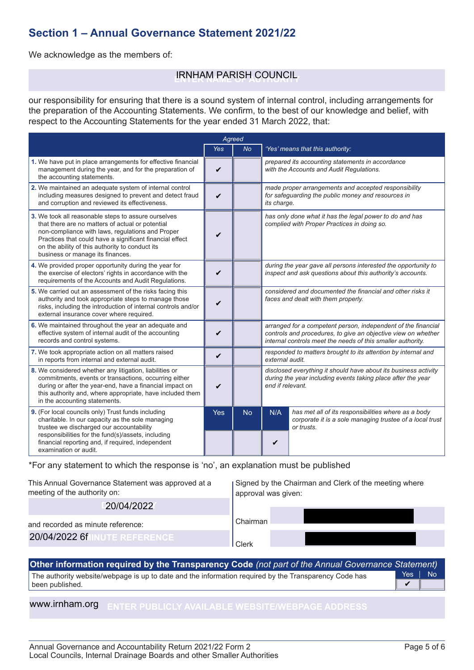### **Section 1 – Annual Governance Statement 2021/22**

We acknowledge as the members of:

# **ENTER NAME OF AUTHORITY** IRNHAM PARISH COUNCIL

our responsibility for ensuring that there is a sound system of internal control, including arrangements for the preparation of the Accounting Statements. We confirm, to the best of our knowledge and belief, with respect to the Accounting Statements for the year ended 31 March 2022, that:

| Agreed                                                                                                                                                                                                                                                                                                         |                    |           |                                                                                                                                                                                               |                                                                                                                               |  |
|----------------------------------------------------------------------------------------------------------------------------------------------------------------------------------------------------------------------------------------------------------------------------------------------------------------|--------------------|-----------|-----------------------------------------------------------------------------------------------------------------------------------------------------------------------------------------------|-------------------------------------------------------------------------------------------------------------------------------|--|
|                                                                                                                                                                                                                                                                                                                | <b>Yes</b>         | <b>No</b> |                                                                                                                                                                                               | 'Yes' means that this authority:                                                                                              |  |
| 1. We have put in place arrangements for effective financial<br>management during the year, and for the preparation of<br>the accounting statements.                                                                                                                                                           | V                  |           |                                                                                                                                                                                               | prepared its accounting statements in accordance<br>with the Accounts and Audit Regulations.                                  |  |
| 2. We maintained an adequate system of internal control<br>including measures designed to prevent and detect fraud<br>and corruption and reviewed its effectiveness.                                                                                                                                           | $\boldsymbol{\nu}$ |           | its charge.                                                                                                                                                                                   | made proper arrangements and accepted responsibility<br>for safequarding the public money and resources in                    |  |
| 3. We took all reasonable steps to assure ourselves<br>that there are no matters of actual or potential<br>non-compliance with laws, regulations and Proper<br>Practices that could have a significant financial effect<br>on the ability of this authority to conduct its<br>business or manage its finances. | V                  |           | has only done what it has the legal power to do and has<br>complied with Proper Practices in doing so.                                                                                        |                                                                                                                               |  |
| 4. We provided proper opportunity during the year for<br>the exercise of electors' rights in accordance with the<br>requirements of the Accounts and Audit Regulations.                                                                                                                                        | V                  |           | during the year gave all persons interested the opportunity to<br>inspect and ask questions about this authority's accounts.                                                                  |                                                                                                                               |  |
| 5. We carried out an assessment of the risks facing this<br>authority and took appropriate steps to manage those<br>risks, including the introduction of internal controls and/or<br>external insurance cover where required.                                                                                  | V                  |           | considered and documented the financial and other risks it<br>faces and dealt with them properly.                                                                                             |                                                                                                                               |  |
| 6. We maintained throughout the year an adequate and<br>effective system of internal audit of the accounting<br>records and control systems.                                                                                                                                                                   | V                  |           | arranged for a competent person, independent of the financial<br>controls and procedures, to give an objective view on whether<br>internal controls meet the needs of this smaller authority. |                                                                                                                               |  |
| 7. We took appropriate action on all matters raised<br>in reports from internal and external audit.                                                                                                                                                                                                            | $\boldsymbol{\nu}$ |           | responded to matters brought to its attention by internal and<br>external audit.                                                                                                              |                                                                                                                               |  |
| 8. We considered whether any litigation, liabilities or<br>commitments, events or transactions, occurring either<br>during or after the year-end, have a financial impact on<br>this authority and, where appropriate, have included them<br>in the accounting statements.                                     | ✓                  |           | disclosed everything it should have about its business activity<br>during the year including events taking place after the year<br>end if relevant.                                           |                                                                                                                               |  |
| 9. (For local councils only) Trust funds including<br>charitable. In our capacity as the sole managing<br>trustee we discharged our accountability<br>responsibilities for the fund(s)/assets, including<br>financial reporting and, if required, independent<br>examination or audit.                         | <b>Yes</b>         | <b>No</b> | N/A<br>V                                                                                                                                                                                      | has met all of its responsibilities where as a body<br>corporate it is a sole managing trustee of a local trust<br>or trusts. |  |

\*For any statement to which the response is 'no', an explanation must be published

| This Annual Governance Statement was approved at a<br>meeting of the authority on: | Signed by the Chairman and Clerk of the meeting where<br>approval was given: |
|------------------------------------------------------------------------------------|------------------------------------------------------------------------------|
| 20/04/2022                                                                         |                                                                              |
| and recorded as minute reference:                                                  | Chairman                                                                     |
| 20/04/2022 6f<br><b>INUTE REFERENCE</b>                                            | Clerk                                                                        |

The authority website/webpage is up to date and the information required by the Transparency Code has been published. Yes | No **Other information required by the Transparency Code** *(not part of the Annual Governance Statement)*  $\overline{\mathbf{v}}$ 

#### **ENTER PUBLICLY AVAILABLE WEBSITE/WEBPAGE ADDRESS** www.irnham.org